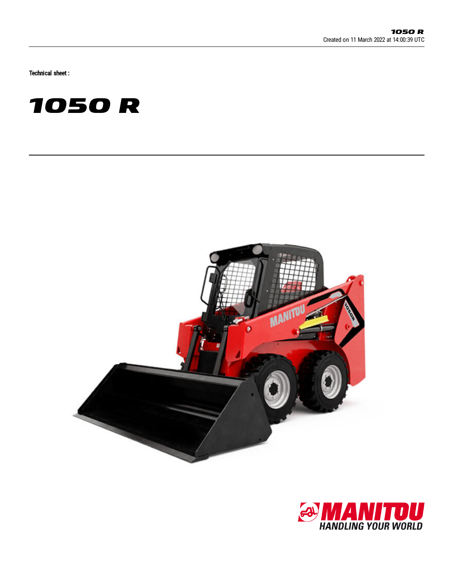Technical sheet :





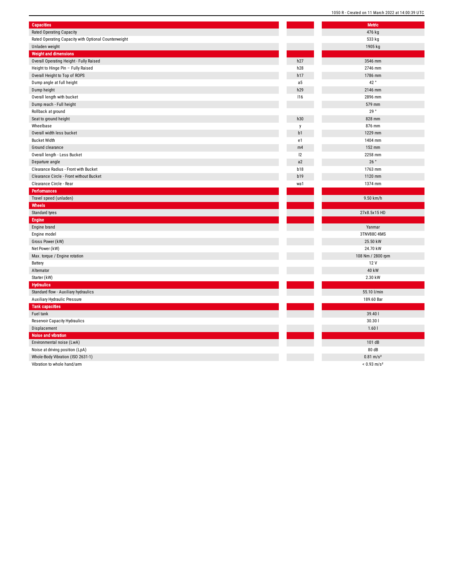| <b>Capacities</b>                                    |            | <b>Metric</b>     |
|------------------------------------------------------|------------|-------------------|
| <b>Rated Operating Capacity</b>                      |            | 476 kg            |
| Rated Operating Capacity with Optional Counterweight |            | 533 kg            |
| Unladen weight                                       |            | 1905 kg           |
| <b>Weight and dimensions</b>                         |            |                   |
| Overall Operating Height - Fully Raised              | h27        | 3546 mm           |
| Height to Hinge Pin - Fully Raised                   | h28        | 2746 mm           |
| Overall Height to Top of ROPS                        | h17        | 1786 mm           |
| Dump angle at full height                            | a5         | 42 °              |
| Dump height                                          | h29        | 2146 mm           |
| Overall length with bucket                           | 116        | 2896 mm           |
| Dump reach - Full height                             |            | 579 mm            |
| Rollback at ground                                   |            | 29°               |
| Seat to ground height                                | h30        | 828 mm            |
| Wheelbase                                            | y          | 876 mm            |
| Overall width less bucket                            | b1         | 1229 mm           |
| <b>Bucket Width</b>                                  | e1         | 1404 mm           |
| Ground clearance                                     | m4         | 152 mm            |
| Overall length - Less Bucket                         | 12         | 2258 mm           |
| Departure angle                                      | a2         | 26°               |
| Clearance Radius - Front with Bucket                 | b18        | 1763 mm           |
| Clearance Circle - Front without Bucket              | <b>b19</b> | 1120 mm           |
| Clearance Circle - Rear                              | wa1        | 1374 mm           |
| <b>Performances</b>                                  |            |                   |
| Travel speed (unladen)                               |            | 9.50 km/h         |
| Wheels                                               |            |                   |
| Standard tyres                                       |            | 27x8.5x15 HD      |
| Engine                                               |            |                   |
| Engine brand                                         |            | Yanmar            |
| Engine model                                         |            | 3TNV88C-KMS       |
| Gross Power (kW)                                     |            | 25.50 kW          |
| Net Power (kW)                                       |            | 24.70 kW          |
| Max. torque / Engine rotation                        |            | 108 Nm / 2800 rpm |
| Battery                                              |            | 12 V              |
| Alternator                                           |            | 40 kW             |
| Starter (kW)                                         |            | 2.30 kW           |
| <b>Hydraulics</b>                                    |            |                   |
| Standard flow - Auxiliary hydraulics                 |            | 55.10 l/min       |
| Auxiliary Hydraulic Pressure                         |            | 189.60 Bar        |
| <b>Tank capacities</b>                               |            |                   |
| Fuel tank                                            |            | 39.40             |
| Reservoir Capacity Hydraulics                        |            | 30.301            |
| Displacement                                         |            | 1.60l             |
| Noise and vibration                                  |            |                   |
|                                                      |            |                   |
| Environmental noise (LwA)                            |            | 101 dB            |
| Noise at driving position (LpA)                      |            | 80 dB             |

Vibration to whole hand/arm

 $< 0.93$  m/s<sup>2</sup>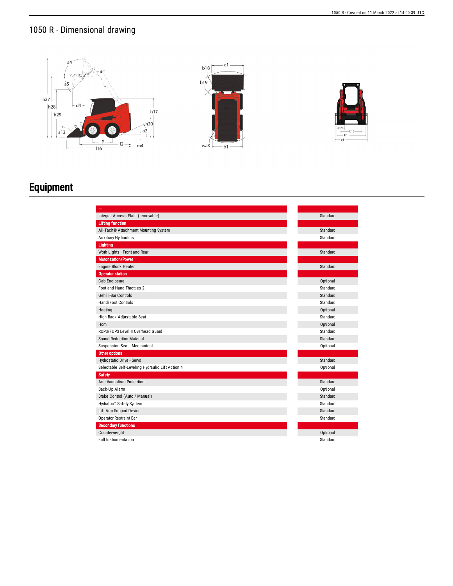## 1050 R - Dimensional drawing





## Equipment

| Integral Access Plate (removable)                | Standard |
|--------------------------------------------------|----------|
| <b>Lifting function</b>                          |          |
| All-Tach® Attachment Mounting System             | Standard |
| <b>Auxiliary Hydraulics</b>                      | Standard |
| Lighting                                         |          |
| Work Lights - Front and Rear                     | Standard |
| <b>Motorization/Power</b>                        |          |
| Engine Block Heater                              | Standard |
| <b>Operator station</b>                          |          |
| Cab Enclosure                                    | Optional |
| Foot and Hand Throttles 2                        | Standard |
| <b>Gehl T-Bar Controls</b>                       | Standard |
| Hand/Foot Controls                               | Standard |
| Heating                                          | Optional |
| High-Back Adjustable Seat                        | Standard |
| Horn                                             | Optional |
| ROPS/FOPS Level II Overhead Guard                | Standard |
| Sound Reduction Material                         | Standard |
| Suspension Seat - Mechanical                     | Optional |
| Other options                                    |          |
| Hydrostatic Drive - Servo                        | Standard |
| Selectable Self-Leveling Hydraulic Lift Action 4 | Optional |
| <b>Safety</b>                                    |          |
| Anti-Vandalism Protection                        | Standard |
| Back-Up Alarm                                    | Optional |
| Brake Control (Auto / Manual)                    | Standard |
| Hydraloc <sup>™</sup> Safety System              | Standard |
| Lift Arm Support Device                          | Standard |
| Operator Restraint Bar                           | Standard |
| <b>Secondary functions</b>                       |          |
| Counterweight                                    | Optional |
| <b>Full Instrumentation</b>                      | Standard |